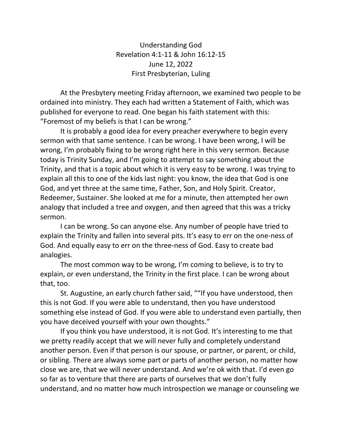Understanding God Revelation 4:1-11 & John 16:12-15 June 12, 2022 First Presbyterian, Luling

At the Presbytery meeting Friday afternoon, we examined two people to be ordained into ministry. They each had written a Statement of Faith, which was published for everyone to read. One began his faith statement with this: "Foremost of my beliefs is that I can be wrong."

It is probably a good idea for every preacher everywhere to begin every sermon with that same sentence. I can be wrong. I have been wrong, I will be wrong, I'm probably fixing to be wrong right here in this very sermon. Because today is Trinity Sunday, and I'm going to attempt to say something about the Trinity, and that is a topic about which it is very easy to be wrong. I was trying to explain all this to one of the kids last night: you know, the idea that God is one God, and yet three at the same time, Father, Son, and Holy Spirit. Creator, Redeemer, Sustainer. She looked at me for a minute, then attempted her own analogy that included a tree and oxygen, and then agreed that this was a tricky sermon.

I can be wrong. So can anyone else. Any number of people have tried to explain the Trinity and fallen into several pits. It's easy to err on the one-ness of God. And equally easy to err on the three-ness of God. Easy to create bad analogies.

The most common way to be wrong, I'm coming to believe, is to try to explain, or even understand, the Trinity in the first place. I can be wrong about that, too.

St. Augustine, an early church father said, ""If you have understood, then this is not God. If you were able to understand, then you have understood something else instead of God. If you were able to understand even partially, then you have deceived yourself with your own thoughts."

If you think you have understood, it is not God. It's interesting to me that we pretty readily accept that we will never fully and completely understand another person. Even if that person is our spouse, or partner, or parent, or child, or sibling. There are always some part or parts of another person, no matter how close we are, that we will never understand. And we're ok with that. I'd even go so far as to venture that there are parts of ourselves that we don't fully understand, and no matter how much introspection we manage or counseling we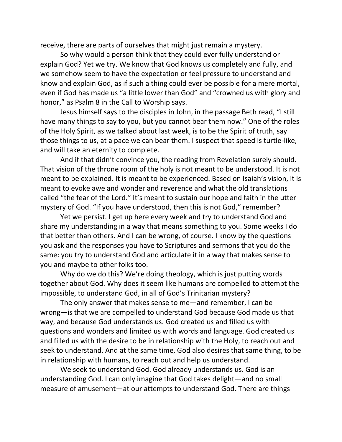receive, there are parts of ourselves that might just remain a mystery.

So why would a person think that they could ever fully understand or explain God? Yet we try. We know that God knows us completely and fully, and we somehow seem to have the expectation or feel pressure to understand and know and explain God, as if such a thing could ever be possible for a mere mortal, even if God has made us "a little lower than God" and "crowned us with glory and honor," as Psalm 8 in the Call to Worship says.

Jesus himself says to the disciples in John, in the passage Beth read, "I still have many things to say to you, but you cannot bear them now." One of the roles of the Holy Spirit, as we talked about last week, is to be the Spirit of truth, say those things to us, at a pace we can bear them. I suspect that speed is turtle-like, and will take an eternity to complete.

And if that didn't convince you, the reading from Revelation surely should. That vision of the throne room of the holy is not meant to be understood. It is not meant to be explained. It is meant to be experienced. Based on Isaiah's vision, it is meant to evoke awe and wonder and reverence and what the old translations called "the fear of the Lord." It's meant to sustain our hope and faith in the utter mystery of God. "If you have understood, then this is not God," remember?

Yet we persist. I get up here every week and try to understand God and share my understanding in a way that means something to you. Some weeks I do that better than others. And I can be wrong, of course. I know by the questions you ask and the responses you have to Scriptures and sermons that you do the same: you try to understand God and articulate it in a way that makes sense to you and maybe to other folks too.

Why do we do this? We're doing theology, which is just putting words together about God. Why does it seem like humans are compelled to attempt the impossible, to understand God, in all of God's Trinitarian mystery?

The only answer that makes sense to me—and remember, I can be wrong—is that we are compelled to understand God because God made us that way, and because God understands us. God created us and filled us with questions and wonders and limited us with words and language. God created us and filled us with the desire to be in relationship with the Holy, to reach out and seek to understand. And at the same time, God also desires that same thing, to be in relationship with humans, to reach out and help us understand.

We seek to understand God. God already understands us. God is an understanding God. I can only imagine that God takes delight—and no small measure of amusement—at our attempts to understand God. There are things